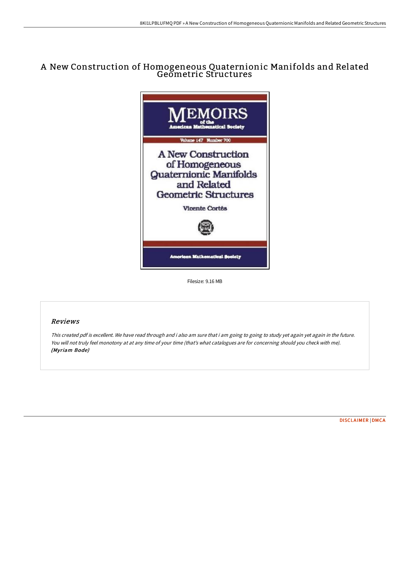## A New Construction of Homogeneous Quaternionic Manifolds and Related Geometric Structures



Filesize: 9.16 MB

## Reviews

This created pdf is excellent. We have read through and i also am sure that i am going to going to study yet again yet again in the future. You will not truly feel monotony at at any time of your time (that's what catalogues are for concerning should you check with me). (Myriam Bode)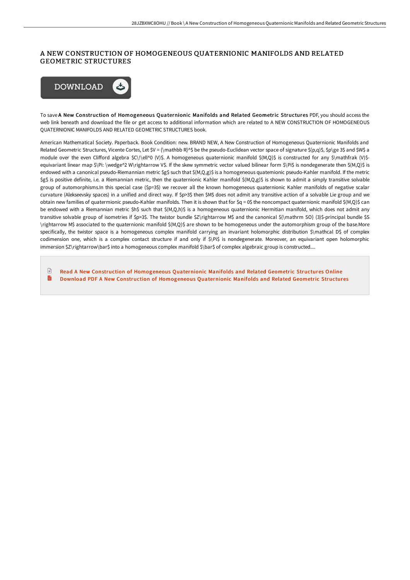## A NEW CONSTRUCTION OF HOMOGENEOUS QUATERNIONIC MANIFOLDS AND RELATED GEOMETRIC STRUCTURES



To save A New Construction of Homogeneous Quaternionic Manifolds and Related Geometric Structures PDF, you should access the web link beneath and download the file or get access to additional information which are related to A NEW CONSTRUCTION OF HOMOGENEOUS QUATERNIONIC MANIFOLDS AND RELATED GEOMETRIC STRUCTURES book.

American Mathematical Society. Paperback. Book Condition: new. BRAND NEW, A New Construction of Homogeneous Quaternionic Manifolds and Related Geometric Structures, Vicente Cortes, Let \$V = {\mathbb R}^\$ be the pseudo-Euclidean vector space of signature \$(p,q)\$, \$p\ge 3\$ and \$W\$ a module over the even Clifford algebra \$C\!\ell^0 (V)\$. A homogeneous quaternionic manifold \$(M,Q)\$ is constructed for any \$\mathfrak (V)\$equivariant linear map \$\Pi: \wedge^2 W\rightarrow V\$. If the skew symmetric vector valued bilinear form \$\Pi\$ is nondegenerate then \$(M,Q)\$ is endowed with a canonical pseudo-Riemannian metric \$g\$ such that \$(M,Q,g)\$ is a homogeneous quatemionic pseudo-Kahler manifold. If the metric \$g\$ is positive definite, i.e. a Riemannian metric, then the quaternionic Kahler manifold \$(M,Q,g)\$ is shown to admit a simply transitive solvable group of automorphisms.In this special case (\$p=3\$) we recover all the known homogeneous quaternionic Kahler manifolds of negative scalar curvature (Alekseevsky spaces) in a unified and direct way. If \$p>3\$ then \$M\$ does not admit any transitive action of a solvable Lie group and we obtain new families of quatermionic pseudo-Kahler manifolds. Then it is shown that for \$q = 0\$ the noncompact quaternionic manifold \$(M,Q)\$ can be endowed with a Riemannian metric \$h\$ such that \$(M,Q,h)\$ is a homogeneous quaternionic Hermitian manifold, which does not admit any transitive solvable group of isometries if \$p>3\$. The twistor bundle \$Z\rightarrow M\$ and the canonical \${\mathrm SO} (3)\$-principal bundle \$S \rightarrow M\$ associated to the quaternionic manifold \$(M,Q)\$ are shown to be homogeneous under the automorphism group of the base.More specifically, the twistor space is a homogeneous complex manifold carrying an invariant holomorphic distribution \$\mathcal D\$ of complex codimension one, which is a complex contact structure if and only if  $\phi$ Pi\$ is nondegenerate. Moreover, an equivariant open holomorphic immersion \$Z\rightarrow\bar\$ into a homogeneous complex manifold \$\bar\$ of complex algebraic group is constructed....

 $\Box$ Read A New Construction of [Homogeneous](http://bookera.tech/a-new-construction-of-homogeneous-quaternionic-m.html) Quaternionic Manifolds and Related Geometric Structures Online h Download PDF A New Construction of [Homogeneous](http://bookera.tech/a-new-construction-of-homogeneous-quaternionic-m.html) Quaternionic Manifolds and Related Geometric Structures